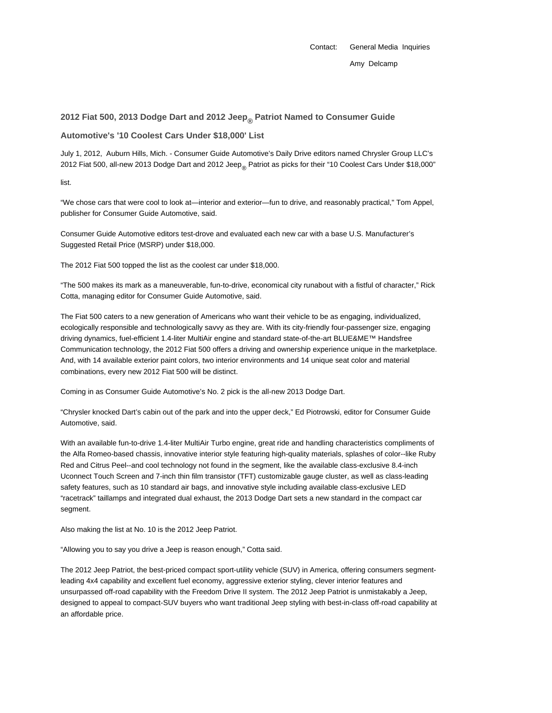## **2012 Fiat 500, 2013 Dodge Dart and 2012 Jeep® Patriot Named to Consumer Guide**

**Automotive's '10 Coolest Cars Under \$18,000' List**

July 1, 2012, Auburn Hills, Mich. - Consumer Guide Automotive's Daily Drive editors named Chrysler Group LLC's 2012 Fiat 500, all-new 2013 Dodge Dart and 2012 Jeep<sub>®</sub> Patriot as picks for their "10 Coolest Cars Under \$18,000"

list.

"We chose cars that were cool to look at—interior and exterior—fun to drive, and reasonably practical," Tom Appel, publisher for Consumer Guide Automotive, said.

Consumer Guide Automotive editors test-drove and evaluated each new car with a base U.S. Manufacturer's Suggested Retail Price (MSRP) under \$18,000.

The 2012 Fiat 500 topped the list as the coolest car under \$18,000.

"The 500 makes its mark as a maneuverable, fun-to-drive, economical city runabout with a fistful of character," Rick Cotta, managing editor for Consumer Guide Automotive, said.

The Fiat 500 caters to a new generation of Americans who want their vehicle to be as engaging, individualized, ecologically responsible and technologically savvy as they are. With its city-friendly four-passenger size, engaging driving dynamics, fuel-efficient 1.4-liter MultiAir engine and standard state-of-the-art BLUE&ME™ Handsfree Communication technology, the 2012 Fiat 500 offers a driving and ownership experience unique in the marketplace. And, with 14 available exterior paint colors, two interior environments and 14 unique seat color and material combinations, every new 2012 Fiat 500 will be distinct.

Coming in as Consumer Guide Automotive's No. 2 pick is the all-new 2013 Dodge Dart.

"Chrysler knocked Dart's cabin out of the park and into the upper deck," Ed Piotrowski, editor for Consumer Guide Automotive, said.

With an available fun-to-drive 1.4-liter MultiAir Turbo engine, great ride and handling characteristics compliments of the Alfa Romeo-based chassis, innovative interior style featuring high-quality materials, splashes of color--like Ruby Red and Citrus Peel--and cool technology not found in the segment, like the available class-exclusive 8.4-inch Uconnect Touch Screen and 7-inch thin film transistor (TFT) customizable gauge cluster, as well as class-leading safety features, such as 10 standard air bags, and innovative style including available class-exclusive LED "racetrack" taillamps and integrated dual exhaust, the 2013 Dodge Dart sets a new standard in the compact car segment.

Also making the list at No. 10 is the 2012 Jeep Patriot.

"Allowing you to say you drive a Jeep is reason enough," Cotta said.

The 2012 Jeep Patriot, the best-priced compact sport-utility vehicle (SUV) in America, offering consumers segmentleading 4x4 capability and excellent fuel economy, aggressive exterior styling, clever interior features and unsurpassed off-road capability with the Freedom Drive II system. The 2012 Jeep Patriot is unmistakably a Jeep, designed to appeal to compact-SUV buyers who want traditional Jeep styling with best-in-class off-road capability at an affordable price.